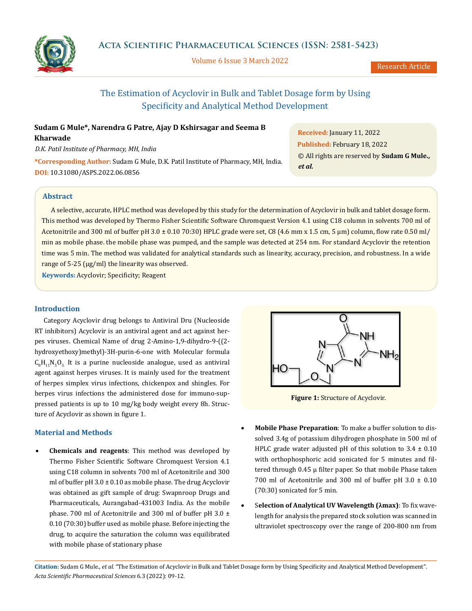

Volume 6 Issue 3 March 2022

Research Article

# The Estimation of Acyclovir in Bulk and Tablet Dosage form by Using Specificity and Analytical Method Development

## **Sudam G Mule\*, Narendra G Patre, Ajay D Kshirsagar and Seema B Kharwade**

*D.K. Patil Institute of Pharmacy, MH, India* 

**\*Corresponding Author:** Sudam G Mule, D.K. Patil Institute of Pharmacy, MH, India. **DOI:** [10.31080/ASPS.2022.06.0856](https://actascientific.com/ASPS/pdf/ASPS-06-0856.pdf)

**Received:** January 11, 2022 **Published:** February 18, 2022 © All rights are reserved by **Sudam G Mule.,**  *et al.*

## **Abstract**

A selective, accurate, HPLC method was developed by this study for the determination of Acyclovir in bulk and tablet dosage form. This method was developed by Thermo Fisher Scientific Software Chromquest Version 4.1 using C18 column in solvents 700 ml of Acetonitrile and 300 ml of buffer pH 3.0 ± 0.10 70:30) HPLC grade were set, C8 (4.6 mm x 1.5 cm, 5 µm) column, flow rate 0.50 ml/ min as mobile phase. the mobile phase was pumped, and the sample was detected at 254 nm. For standard Acyclovir the retention time was 5 min. The method was validated for analytical standards such as linearity, accuracy, precision, and robustness. In a wide range of 5-25 (μg/ml) the linearity was observed.

**Keywords:** Acyclovir; Specificity; Reagent

## **Introduction**

Category Acyclovir drug belongs to Antiviral Dru (Nucleoside RT inhibitors) Acyclovir is an antiviral agent and act against herpes viruses. Chemical Name of drug 2-Amino-1,9-dihydro-9-((2 hydroxyethoxy)methyl)-3H-purin-6-one with Molecular formula  $C_8H_{11}N_5O_3$  It is a purine nucleoside analogue, used as antiviral agent against herpes viruses. It is mainly used for the treatment of herpes simplex virus infections, chickenpox and shingles. For herpes virus infections the administered dose for immuno-suppressed patients is up to 10 mg/kg body weight every 8h. Structure of Acyclovir as shown in figure 1.

## **Material and Methods**

**Chemicals and reagents**: This method was developed by Thermo Fisher Scientific Software Chromquest Version 4.1 using C18 column in solvents 700 ml of Acetonitrile and 300 ml of buffer pH  $3.0 \pm 0.10$  as mobile phase. The drug Acyclovir was obtained as gift sample of drug: Swapnroop Drugs and Pharmaceuticals, Aurangabad-431003 India. As the mobile phase. 700 ml of Acetonitrile and 300 ml of buffer pH 3.0 ± 0.10 (70:30) buffer used as mobile phase. Before injecting the drug, to acquire the saturation the column was equilibrated with mobile phase of stationary phase



**Figure 1:** Structure of Acyclovir.

- Mobile Phase Preparation: To make a buffer solution to dissolved 3.4g of potassium dihydrogen phosphate in 500 ml of HPLC grade water adjusted pH of this solution to  $3.4 \pm 0.10$ with orthophosphoric acid sonicated for 5 minutes and filtered through  $0.45 \mu$  filter paper. So that mobile Phase taken 700 ml of Acetonitrile and 300 ml of buffer pH 3.0 ± 0.10 (70:30) sonicated for 5 min.
- **Selection of Analytical UV Wavelength (λmax)**: To fix wavelength for analysis the prepared stock solution was scanned in ultraviolet spectroscopy over the range of 200-800 nm from

**Citation:** Sudam G Mule*., et al.* "The Estimation of Acyclovir in Bulk and Tablet Dosage form by Using Specificity and Analytical Method Development". *Acta Scientific Pharmaceutical Sciences* 6.3 (2022): 09-12.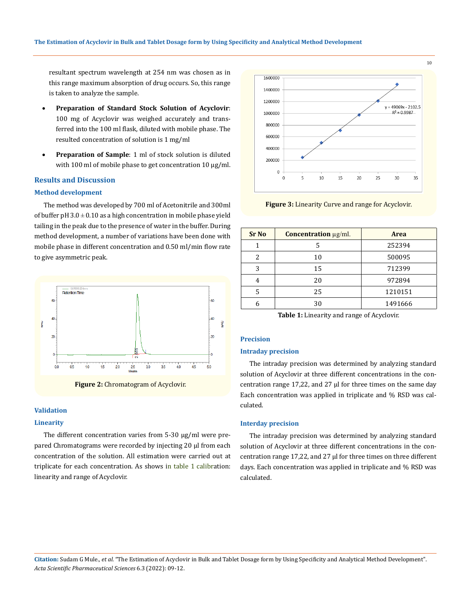resultant spectrum wavelength at 254 nm was chosen as in this range maximum absorption of drug occurs. So, this range is taken to analyze the sample.

- Preparation of Standard Stock Solution of Acyclovir: 100 mg of Acyclovir was weighed accurately and transferred into the 100 ml flask, diluted with mobile phase. The resulted concentration of solution is 1 mg/ml
- **Preparation of Sample**: 1 ml of stock solution is diluted with 100 ml of mobile phase to get concentration 10 µg/ml.

#### **Results and Discussion**

#### **Method development**

The method was developed by 700 ml of Acetonitrile and 300ml of buffer pH  $3.0 \pm 0.10$  as a high concentration in mobile phase yield tailing in the peak due to the presence of water in the buffer. During method development, a number of variations have been done with mobile phase in different concentration and 0.50 ml/min flow rate to give asymmetric peak.



**Figure 2:** Chromatogram of Acyclovir.

#### **Validation**

#### **Linearity**

The different concentration varies from 5-30 µg/ml were prepared Chromatograms were recorded by injecting 20 μl from each concentration of the solution. All estimation were carried out at triplicate for each concentration. As shows in table 1 calibration: linearity and range of Acyclovir.



**Figure 3:** Linearity Curve and range for Acyclovir.

| <b>Sr</b> No | Concentration µg/ml. | <b>Area</b> |  |
|--------------|----------------------|-------------|--|
|              |                      | 252394      |  |
|              | 10                   | 500095      |  |
| 3            | 15                   | 712399      |  |
|              | 20                   | 972894      |  |
| 5            | 25                   | 1210151     |  |
|              | 30                   | 1491666     |  |

**Table 1:** Linearity and range of Acyclovir.

#### **Precision**

#### **Intraday precision**

The intraday precision was determined by analyzing standard solution of Acyclovir at three different concentrations in the concentration range 17,22, and 27  $\mu$  for three times on the same day Each concentration was applied in triplicate and % RSD was calculated.

#### **Interday precision**

The intraday precision was determined by analyzing standard solution of Acyclovir at three different concentrations in the concentration range 17,22, and 27 µl for three times on three different days. Each concentration was applied in triplicate and % RSD was calculated.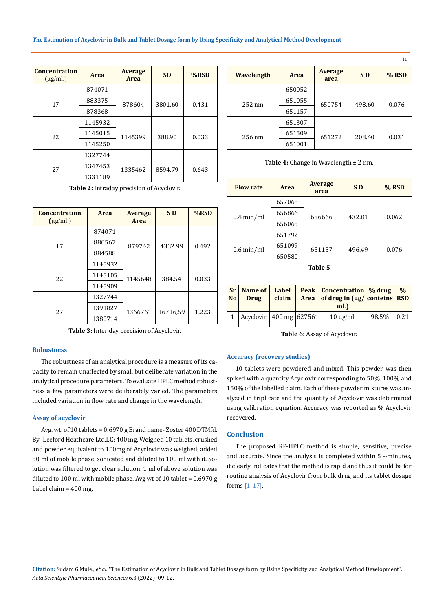| <b>Concentration</b><br>$(\mu g/ml.)$ | <b>Area</b> |         | <b>SD</b> | $%$ RSD |
|---------------------------------------|-------------|---------|-----------|---------|
|                                       | 874071      |         |           |         |
| 17                                    | 883375      | 878604  | 3801.60   | 0.431   |
|                                       | 878368      |         |           |         |
|                                       | 1145932     |         |           |         |
| 22                                    | 1145015     | 1145399 | 388.90    | 0.033   |
|                                       | 1145250     |         |           |         |
|                                       | 1327744     |         |           |         |
| 27                                    | 1347453     | 1335462 | 8594.79   | 0.643   |
|                                       | 1331189     |         |           |         |

**Table 2:** Intraday precision of Acyclovir.

| <b>Concentration</b><br>$(\mu$ g/ml.) | Area    | <b>Average</b><br>Area | S <sub>D</sub> | %RSD  |
|---------------------------------------|---------|------------------------|----------------|-------|
|                                       | 874071  |                        |                |       |
| 17                                    | 880567  | 879742                 | 4332.99        | 0.492 |
|                                       | 884588  |                        |                |       |
|                                       | 1145932 |                        |                |       |
| 22                                    | 1145105 | 1145648                | 384.54         | 0.033 |
|                                       | 1145909 |                        |                |       |
|                                       | 1327744 |                        |                |       |
| 27                                    | 1391827 | 1366761                | 16716,59       | 1.223 |
|                                       | 1380714 |                        |                |       |

**Table 3:** Inter day precision of Acyclovir.

### **Robustness**

The robustness of an analytical procedure is a measure of its capacity to remain unaffected by small but deliberate variation in the analytical procedure parameters. To evaluate HPLC method robustness a few parameters were deliberately varied. The parameters included variation in flow rate and change in the wavelength.

#### **Assay of acyclovir**

Avg. wt. of 10 tablets = 0.6970 g Brand name- Zoster 400 DTMfd. By- Leeford Heathcare Ltd.LC: 400 mg. Weighed 10 tablets, crushed and powder equivalent to 100mg of Acyclovir was weighed, added 50 ml of mobile phase, sonicated and diluted to 100 ml with it. Solution was filtered to get clear solution. 1 ml of above solution was diluted to 100 ml with mobile phase. Avg wt of 10 tablet = 0.6970 g Label claim = 400 mg.

| <b>Wavelength</b> | Area   | <b>Average</b><br>area | <b>SD</b> | $%$ RSD |
|-------------------|--------|------------------------|-----------|---------|
|                   | 650052 |                        |           |         |
| $252 \text{ nm}$  | 651055 | 650754                 | 498.60    | 0.076   |
|                   | 651157 |                        |           |         |
|                   | 651307 |                        |           |         |
| $256 \text{ nm}$  | 651509 | 651272                 | 208.40    | 0.031   |
|                   | 651001 |                        |           |         |

**Table 4:** Change in Wavelength ± 2 nm.

| <b>Flow rate</b>     | <b>Area</b> | <b>Average</b><br>area | SD <sub>D</sub> | $%$ RSD |
|----------------------|-------------|------------------------|-----------------|---------|
|                      | 657068      |                        |                 |         |
| $0.4 \text{ min/ml}$ | 656866      | 656666                 | 432.81          | 0.062   |
|                      | 656065      |                        |                 |         |
|                      | 651792      |                        |                 |         |
| $0.6 \text{ min/ml}$ | 651099      | 651157                 | 496.49          | 0.076   |
|                      | 650580      |                        |                 |         |

**Table 5**

| No l | <b>Drug</b>                     | claim ' | Sr   Name of   Label   Peak   Concentration   % drug  <br>Area of drug in $\left[\mu g / \alpha\right]$ contetns RSD<br>ml. |              | $\frac{0}{0}$ |
|------|---------------------------------|---------|-----------------------------------------------------------------------------------------------------------------------------|--------------|---------------|
|      | 1   Acyclovir   400 mg   627561 |         | $10 \mu$ g/ml.                                                                                                              | 98.5%   0.21 |               |

**Table 6:** Assay of Acyclovir.

#### **Accuracy (recovery studies)**

10 tablets were powdered and mixed. This powder was then spiked with a quantity Acyclovir corresponding to 50%, 100% and 150% of the labelled claim. Each of these powder mixtures was analyzed in triplicate and the quantity of Acyclovir was determined using calibration equation. Accuracy was reported as % Acyclovir recovered.

## **Conclusion**

The proposed RP-HPLC method is simple, sensitive, precise and accurate. Since the analysis is completed within 5 --minutes, it clearly indicates that the method is rapid and thus it could be for routine analysis of Acyclovir from bulk drug and its tablet dosage forms [1-17].

11